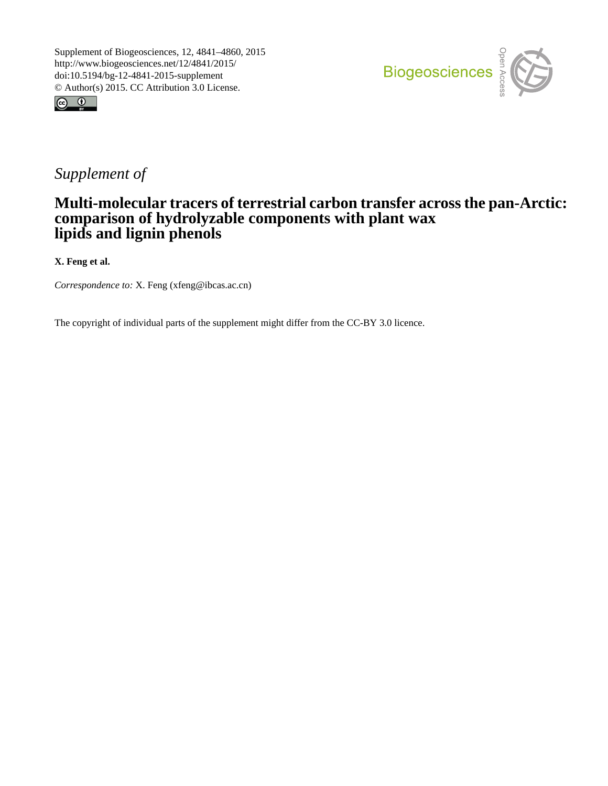



## *Supplement of*

## **Multi-molecular tracers of terrestrial carbon transfer across the pan-Arctic: comparison of hydrolyzable components with plant wax lipids and lignin phenols**

**X. Feng et al.**

*Correspondence to:* X. Feng (xfeng@ibcas.ac.cn)

The copyright of individual parts of the supplement might differ from the CC-BY 3.0 licence.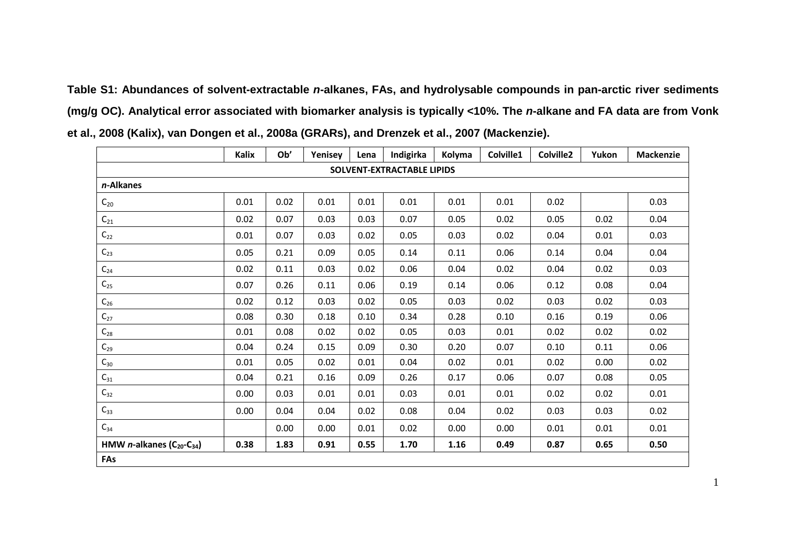**Table S1: Abundances of solvent-extractable** *n***-alkanes, FAs, and hydrolysable compounds in pan-arctic river sediments (mg/g OC). Analytical error associated with biomarker analysis is typically <10%. The** *n***-alkane and FA data are from Vonk et al., 2008 (Kalix), van Dongen et al., 2008a (GRARs), and Drenzek et al., 2007 (Mackenzie).**

|                                                      | Kalix | Ob'  | Yenisey | Lena | Indigirka | Kolyma | Colville1 | Colville2 | Yukon | <b>Mackenzie</b> |  |
|------------------------------------------------------|-------|------|---------|------|-----------|--------|-----------|-----------|-------|------------------|--|
| <b>SOLVENT-EXTRACTABLE LIPIDS</b>                    |       |      |         |      |           |        |           |           |       |                  |  |
| n-Alkanes                                            |       |      |         |      |           |        |           |           |       |                  |  |
| $C_{20}$                                             | 0.01  | 0.02 | 0.01    | 0.01 | 0.01      | 0.01   | 0.01      | 0.02      |       | 0.03             |  |
| $C_{21}$                                             | 0.02  | 0.07 | 0.03    | 0.03 | 0.07      | 0.05   | 0.02      | 0.05      | 0.02  | 0.04             |  |
| $\mathsf{C}_{22}$                                    | 0.01  | 0.07 | 0.03    | 0.02 | 0.05      | 0.03   | 0.02      | 0.04      | 0.01  | 0.03             |  |
| $C_{23}$                                             | 0.05  | 0.21 | 0.09    | 0.05 | 0.14      | 0.11   | 0.06      | 0.14      | 0.04  | 0.04             |  |
| $\mathsf{C}_{24}$                                    | 0.02  | 0.11 | 0.03    | 0.02 | 0.06      | 0.04   | 0.02      | 0.04      | 0.02  | 0.03             |  |
| $\textsf{C}_{25}$                                    | 0.07  | 0.26 | 0.11    | 0.06 | 0.19      | 0.14   | 0.06      | 0.12      | 0.08  | 0.04             |  |
| $C_{26}$                                             | 0.02  | 0.12 | 0.03    | 0.02 | 0.05      | 0.03   | 0.02      | 0.03      | 0.02  | 0.03             |  |
| $C_{27}$                                             | 0.08  | 0.30 | 0.18    | 0.10 | 0.34      | 0.28   | 0.10      | 0.16      | 0.19  | 0.06             |  |
| $\mathsf{C}_{28}$                                    | 0.01  | 0.08 | 0.02    | 0.02 | 0.05      | 0.03   | 0.01      | 0.02      | 0.02  | 0.02             |  |
| $\mathsf{C}_{29}$                                    | 0.04  | 0.24 | 0.15    | 0.09 | 0.30      | 0.20   | 0.07      | 0.10      | 0.11  | 0.06             |  |
| $\mathsf{C}_{30}$                                    | 0.01  | 0.05 | 0.02    | 0.01 | 0.04      | 0.02   | 0.01      | 0.02      | 0.00  | 0.02             |  |
| $\textsf{C}_{31}$                                    | 0.04  | 0.21 | 0.16    | 0.09 | 0.26      | 0.17   | 0.06      | 0.07      | 0.08  | 0.05             |  |
| $\mathsf{C}_{32}$                                    | 0.00  | 0.03 | 0.01    | 0.01 | 0.03      | 0.01   | 0.01      | 0.02      | 0.02  | 0.01             |  |
| $C_{33}$                                             | 0.00  | 0.04 | 0.04    | 0.02 | 0.08      | 0.04   | 0.02      | 0.03      | 0.03  | 0.02             |  |
| $C_{34}$                                             |       | 0.00 | 0.00    | 0.01 | 0.02      | 0.00   | 0.00      | 0.01      | 0.01  | 0.01             |  |
| HMW $n$ -alkanes (C <sub>20</sub> -C <sub>34</sub> ) | 0.38  | 1.83 | 0.91    | 0.55 | 1.70      | 1.16   | 0.49      | 0.87      | 0.65  | 0.50             |  |
| FAs                                                  |       |      |         |      |           |        |           |           |       |                  |  |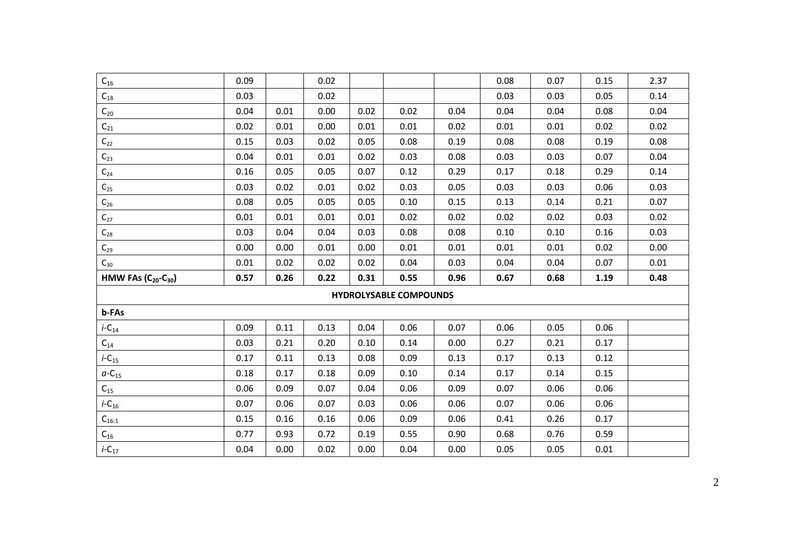| $\mathsf{C}_{16}$           | 0.09 |      | 0.02 |      |                               |      | 0.08 | 0.07 | 0.15 | 2.37 |
|-----------------------------|------|------|------|------|-------------------------------|------|------|------|------|------|
| $\textsf{C}_{18}$           | 0.03 |      | 0.02 |      |                               |      | 0.03 | 0.03 | 0.05 | 0.14 |
| $\mathsf{C}_{20}$           | 0.04 | 0.01 | 0.00 | 0.02 | 0.02                          | 0.04 | 0.04 | 0.04 | 0.08 | 0.04 |
| $\textsf{C}_{21}$           | 0.02 | 0.01 | 0.00 | 0.01 | 0.01                          | 0.02 | 0.01 | 0.01 | 0.02 | 0.02 |
| $\mathsf{C}_{22}$           | 0.15 | 0.03 | 0.02 | 0.05 | 0.08                          | 0.19 | 0.08 | 0.08 | 0.19 | 0.08 |
| $\mathsf{C}_{23}$           | 0.04 | 0.01 | 0.01 | 0.02 | 0.03                          | 0.08 | 0.03 | 0.03 | 0.07 | 0.04 |
| $\textsf{C}_{\textsf{24}}$  | 0.16 | 0.05 | 0.05 | 0.07 | 0.12                          | 0.29 | 0.17 | 0.18 | 0.29 | 0.14 |
| $\mathsf{C}_{25}$           | 0.03 | 0.02 | 0.01 | 0.02 | 0.03                          | 0.05 | 0.03 | 0.03 | 0.06 | 0.03 |
| $\mathsf{C}_{26}$           | 0.08 | 0.05 | 0.05 | 0.05 | 0.10                          | 0.15 | 0.13 | 0.14 | 0.21 | 0.07 |
| $\mathsf{C}_{27}$           | 0.01 | 0.01 | 0.01 | 0.01 | 0.02                          | 0.02 | 0.02 | 0.02 | 0.03 | 0.02 |
| $C_{28}$                    | 0.03 | 0.04 | 0.04 | 0.03 | 0.08                          | 0.08 | 0.10 | 0.10 | 0.16 | 0.03 |
| $\mathsf{C}_{29}$           | 0.00 | 0.00 | 0.01 | 0.00 | 0.01                          | 0.01 | 0.01 | 0.01 | 0.02 | 0.00 |
| $C_{30}$                    | 0.01 | 0.02 | 0.02 | 0.02 | 0.04                          | 0.03 | 0.04 | 0.04 | 0.07 | 0.01 |
| HMW FAs $(C_{20} - C_{30})$ | 0.57 | 0.26 | 0.22 | 0.31 | 0.55                          | 0.96 | 0.67 | 0.68 | 1.19 | 0.48 |
|                             |      |      |      |      | <b>HYDROLYSABLE COMPOUNDS</b> |      |      |      |      |      |
| b-FAs                       |      |      |      |      |                               |      |      |      |      |      |
| $i$ -C <sub>14</sub>        | 0.09 | 0.11 | 0.13 | 0.04 | 0.06                          | 0.07 | 0.06 | 0.05 | 0.06 |      |
| $C_{14}$                    | 0.03 | 0.21 | 0.20 | 0.10 | 0.14                          | 0.00 | 0.27 | 0.21 | 0.17 |      |
| $i$ -C <sub>15</sub>        | 0.17 | 0.11 | 0.13 | 0.08 | 0.09                          | 0.13 | 0.17 | 0.13 | 0.12 |      |
| $a$ -C <sub>15</sub>        | 0.18 | 0.17 | 0.18 | 0.09 | 0.10                          | 0.14 | 0.17 | 0.14 | 0.15 |      |
| $C_{15}$                    | 0.06 | 0.09 | 0.07 | 0.04 | 0.06                          | 0.09 | 0.07 | 0.06 | 0.06 |      |
| $i$ -C <sub>16</sub>        | 0.07 | 0.06 | 0.07 | 0.03 | 0.06                          | 0.06 | 0.07 | 0.06 | 0.06 |      |
| $C_{16:1}$                  | 0.15 | 0.16 | 0.16 | 0.06 | 0.09                          | 0.06 | 0.41 | 0.26 | 0.17 |      |
| $C_{16}$                    | 0.77 | 0.93 | 0.72 | 0.19 | 0.55                          | 0.90 | 0.68 | 0.76 | 0.59 |      |
| $i$ -C <sub>17</sub>        | 0.04 | 0.00 | 0.02 | 0.00 | 0.04                          | 0.00 | 0.05 | 0.05 | 0.01 |      |
|                             |      |      |      |      |                               |      |      |      |      |      |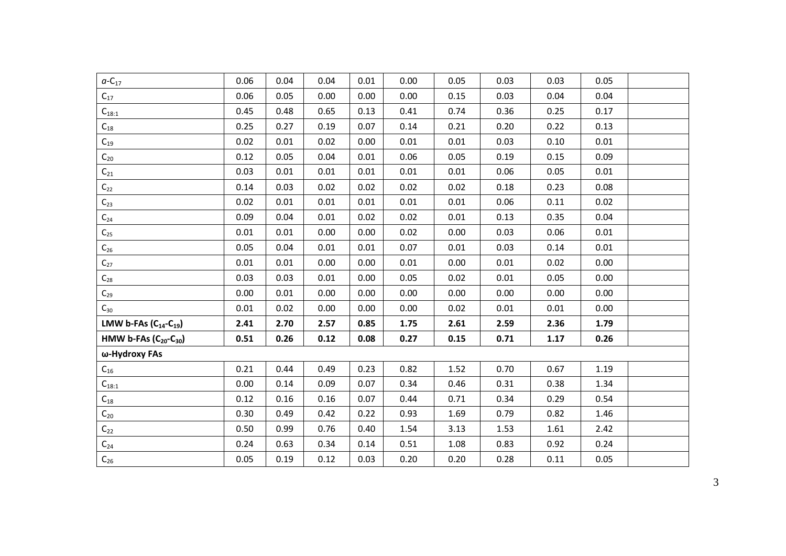| $a - C_{17}$                                  | 0.06 | 0.04 | 0.04 | 0.01 | 0.00 | 0.05 | 0.03 | 0.03 | 0.05 |  |
|-----------------------------------------------|------|------|------|------|------|------|------|------|------|--|
| $C_{17}$                                      | 0.06 | 0.05 | 0.00 | 0.00 | 0.00 | 0.15 | 0.03 | 0.04 | 0.04 |  |
| $C_{18:1}$                                    | 0.45 | 0.48 | 0.65 | 0.13 | 0.41 | 0.74 | 0.36 | 0.25 | 0.17 |  |
| $\mathsf{C}_{18}$                             | 0.25 | 0.27 | 0.19 | 0.07 | 0.14 | 0.21 | 0.20 | 0.22 | 0.13 |  |
| $C_{19}$                                      | 0.02 | 0.01 | 0.02 | 0.00 | 0.01 | 0.01 | 0.03 | 0.10 | 0.01 |  |
| $\mathsf{C}_{20}$                             | 0.12 | 0.05 | 0.04 | 0.01 | 0.06 | 0.05 | 0.19 | 0.15 | 0.09 |  |
| $\mathsf{C}_{21}$                             | 0.03 | 0.01 | 0.01 | 0.01 | 0.01 | 0.01 | 0.06 | 0.05 | 0.01 |  |
| $\mathsf{C}_{22}$                             | 0.14 | 0.03 | 0.02 | 0.02 | 0.02 | 0.02 | 0.18 | 0.23 | 0.08 |  |
| $C_{23}$                                      | 0.02 | 0.01 | 0.01 | 0.01 | 0.01 | 0.01 | 0.06 | 0.11 | 0.02 |  |
| $\mathsf{C}_{24}$                             | 0.09 | 0.04 | 0.01 | 0.02 | 0.02 | 0.01 | 0.13 | 0.35 | 0.04 |  |
| $C_{25}$                                      | 0.01 | 0.01 | 0.00 | 0.00 | 0.02 | 0.00 | 0.03 | 0.06 | 0.01 |  |
| $C_{26}$                                      | 0.05 | 0.04 | 0.01 | 0.01 | 0.07 | 0.01 | 0.03 | 0.14 | 0.01 |  |
| $\mathsf{C}_{27}$                             | 0.01 | 0.01 | 0.00 | 0.00 | 0.01 | 0.00 | 0.01 | 0.02 | 0.00 |  |
| $\mathsf{C}_{28}$                             | 0.03 | 0.03 | 0.01 | 0.00 | 0.05 | 0.02 | 0.01 | 0.05 | 0.00 |  |
| $\mathsf{C}_{29}$                             | 0.00 | 0.01 | 0.00 | 0.00 | 0.00 | 0.00 | 0.00 | 0.00 | 0.00 |  |
| $C_{30}$                                      | 0.01 | 0.02 | 0.00 | 0.00 | 0.00 | 0.02 | 0.01 | 0.01 | 0.00 |  |
| LMW b-FAs $(C_{14} - C_{19})$                 | 2.41 | 2.70 | 2.57 | 0.85 | 1.75 | 2.61 | 2.59 | 2.36 | 1.79 |  |
| HMW b-FAs (C <sub>20</sub> -C <sub>30</sub> ) | 0.51 | 0.26 | 0.12 | 0.08 | 0.27 | 0.15 | 0.71 | 1.17 | 0.26 |  |
| ω-Hydroxy FAs                                 |      |      |      |      |      |      |      |      |      |  |
| $C_{16}$                                      | 0.21 | 0.44 | 0.49 | 0.23 | 0.82 | 1.52 | 0.70 | 0.67 | 1.19 |  |
| $C_{18:1}$                                    | 0.00 | 0.14 | 0.09 | 0.07 | 0.34 | 0.46 | 0.31 | 0.38 | 1.34 |  |
| $C_{18}$                                      | 0.12 | 0.16 | 0.16 | 0.07 | 0.44 | 0.71 | 0.34 | 0.29 | 0.54 |  |
| $\mathsf{C}_{20}$                             | 0.30 | 0.49 | 0.42 | 0.22 | 0.93 | 1.69 | 0.79 | 0.82 | 1.46 |  |
| $C_{22}$                                      | 0.50 | 0.99 | 0.76 | 0.40 | 1.54 | 3.13 | 1.53 | 1.61 | 2.42 |  |
| $\mathsf{C}_{24}$                             | 0.24 | 0.63 | 0.34 | 0.14 | 0.51 | 1.08 | 0.83 | 0.92 | 0.24 |  |
| $\mathsf{C}_{26}$                             | 0.05 | 0.19 | 0.12 | 0.03 | 0.20 | 0.20 | 0.28 | 0.11 | 0.05 |  |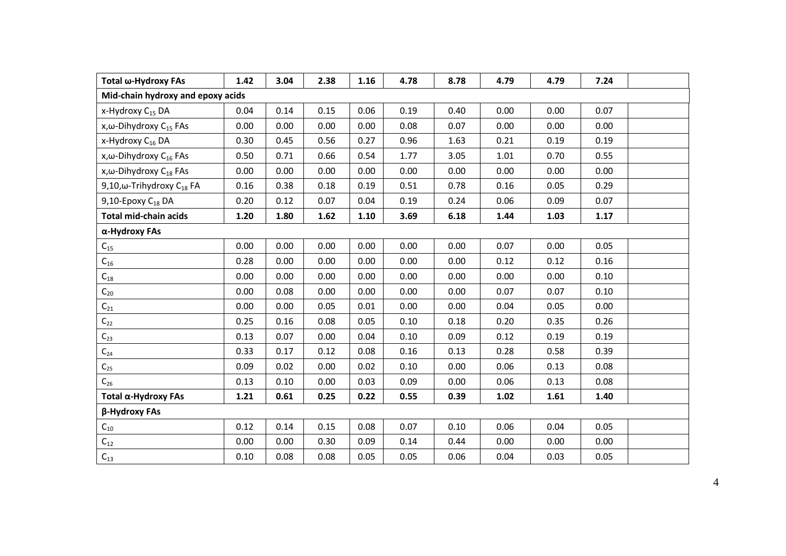| Total ω-Hydroxy FAs                        | 1.42 | 3.04 | 2.38 | 1.16 | 4.78 | 8.78 | 4.79 | 4.79 | 7.24 |  |
|--------------------------------------------|------|------|------|------|------|------|------|------|------|--|
| Mid-chain hydroxy and epoxy acids          |      |      |      |      |      |      |      |      |      |  |
| x-Hydroxy C <sub>15</sub> DA               | 0.04 | 0.14 | 0.15 | 0.06 | 0.19 | 0.40 | 0.00 | 0.00 | 0.07 |  |
| x, $\omega$ -Dihydroxy C <sub>15</sub> FAs | 0.00 | 0.00 | 0.00 | 0.00 | 0.08 | 0.07 | 0.00 | 0.00 | 0.00 |  |
| x-Hydroxy C <sub>16</sub> DA               | 0.30 | 0.45 | 0.56 | 0.27 | 0.96 | 1.63 | 0.21 | 0.19 | 0.19 |  |
| x,ω-Dihydroxy C <sub>16</sub> FAs          | 0.50 | 0.71 | 0.66 | 0.54 | 1.77 | 3.05 | 1.01 | 0.70 | 0.55 |  |
| x, $\omega$ -Dihydroxy C <sub>18</sub> FAs | 0.00 | 0.00 | 0.00 | 0.00 | 0.00 | 0.00 | 0.00 | 0.00 | 0.00 |  |
| 9,10,ω-Trihydroxy $C_{18}$ FA              | 0.16 | 0.38 | 0.18 | 0.19 | 0.51 | 0.78 | 0.16 | 0.05 | 0.29 |  |
| 9,10-Epoxy C <sub>18</sub> DA              | 0.20 | 0.12 | 0.07 | 0.04 | 0.19 | 0.24 | 0.06 | 0.09 | 0.07 |  |
| <b>Total mid-chain acids</b>               | 1.20 | 1.80 | 1.62 | 1.10 | 3.69 | 6.18 | 1.44 | 1.03 | 1.17 |  |
| α-Hydroxy FAs                              |      |      |      |      |      |      |      |      |      |  |
| $\mathsf{C}_{15}$                          | 0.00 | 0.00 | 0.00 | 0.00 | 0.00 | 0.00 | 0.07 | 0.00 | 0.05 |  |
| $\textsf{C}_{16}$                          | 0.28 | 0.00 | 0.00 | 0.00 | 0.00 | 0.00 | 0.12 | 0.12 | 0.16 |  |
| $\mathsf{C}_{18}$                          | 0.00 | 0.00 | 0.00 | 0.00 | 0.00 | 0.00 | 0.00 | 0.00 | 0.10 |  |
| $C_{20}$                                   | 0.00 | 0.08 | 0.00 | 0.00 | 0.00 | 0.00 | 0.07 | 0.07 | 0.10 |  |
| $\textsf{C}_{21}$                          | 0.00 | 0.00 | 0.05 | 0.01 | 0.00 | 0.00 | 0.04 | 0.05 | 0.00 |  |
| $\mathsf{C}_{22}$                          | 0.25 | 0.16 | 0.08 | 0.05 | 0.10 | 0.18 | 0.20 | 0.35 | 0.26 |  |
| $C_{23}$                                   | 0.13 | 0.07 | 0.00 | 0.04 | 0.10 | 0.09 | 0.12 | 0.19 | 0.19 |  |
| $C_{24}$                                   | 0.33 | 0.17 | 0.12 | 0.08 | 0.16 | 0.13 | 0.28 | 0.58 | 0.39 |  |
| $\mathsf{C}_{25}$                          | 0.09 | 0.02 | 0.00 | 0.02 | 0.10 | 0.00 | 0.06 | 0.13 | 0.08 |  |
| $C_{26}$                                   | 0.13 | 0.10 | 0.00 | 0.03 | 0.09 | 0.00 | 0.06 | 0.13 | 0.08 |  |
| Total α-Hydroxy FAs                        | 1.21 | 0.61 | 0.25 | 0.22 | 0.55 | 0.39 | 1.02 | 1.61 | 1.40 |  |
| β-Hydroxy FAs                              |      |      |      |      |      |      |      |      |      |  |
| $\mathsf{C}_{10}$                          | 0.12 | 0.14 | 0.15 | 0.08 | 0.07 | 0.10 | 0.06 | 0.04 | 0.05 |  |
| $\textsf{C}_{12}$                          | 0.00 | 0.00 | 0.30 | 0.09 | 0.14 | 0.44 | 0.00 | 0.00 | 0.00 |  |
| $\mathsf{C}_{13}$                          | 0.10 | 0.08 | 0.08 | 0.05 | 0.05 | 0.06 | 0.04 | 0.03 | 0.05 |  |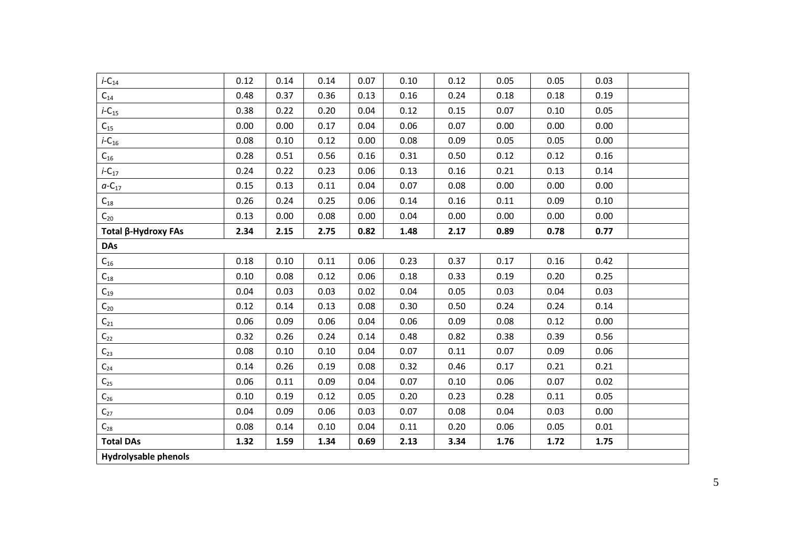| $i$ -C <sub>14</sub>        | 0.12 | 0.14 | 0.14 | 0.07 | 0.10 | 0.12 | 0.05 | 0.05 | 0.03 |  |
|-----------------------------|------|------|------|------|------|------|------|------|------|--|
| $\mathsf{C}_{14}$           | 0.48 | 0.37 | 0.36 | 0.13 | 0.16 | 0.24 | 0.18 | 0.18 | 0.19 |  |
| $i$ -C <sub>15</sub>        | 0.38 | 0.22 | 0.20 | 0.04 | 0.12 | 0.15 | 0.07 | 0.10 | 0.05 |  |
| $C_{15}$                    | 0.00 | 0.00 | 0.17 | 0.04 | 0.06 | 0.07 | 0.00 | 0.00 | 0.00 |  |
| $i$ -C <sub>16</sub>        | 0.08 | 0.10 | 0.12 | 0.00 | 0.08 | 0.09 | 0.05 | 0.05 | 0.00 |  |
| $C_{16}$                    | 0.28 | 0.51 | 0.56 | 0.16 | 0.31 | 0.50 | 0.12 | 0.12 | 0.16 |  |
| $i$ -C <sub>17</sub>        | 0.24 | 0.22 | 0.23 | 0.06 | 0.13 | 0.16 | 0.21 | 0.13 | 0.14 |  |
| $a$ -C <sub>17</sub>        | 0.15 | 0.13 | 0.11 | 0.04 | 0.07 | 0.08 | 0.00 | 0.00 | 0.00 |  |
| $\mathsf{C}_{18}$           | 0.26 | 0.24 | 0.25 | 0.06 | 0.14 | 0.16 | 0.11 | 0.09 | 0.10 |  |
| $C_{20}$                    | 0.13 | 0.00 | 0.08 | 0.00 | 0.04 | 0.00 | 0.00 | 0.00 | 0.00 |  |
| Total β-Hydroxy FAs         | 2.34 | 2.15 | 2.75 | 0.82 | 1.48 | 2.17 | 0.89 | 0.78 | 0.77 |  |
| <b>DAs</b>                  |      |      |      |      |      |      |      |      |      |  |
| $C_{16}$                    | 0.18 | 0.10 | 0.11 | 0.06 | 0.23 | 0.37 | 0.17 | 0.16 | 0.42 |  |
| $C_{18}$                    | 0.10 | 0.08 | 0.12 | 0.06 | 0.18 | 0.33 | 0.19 | 0.20 | 0.25 |  |
| $C_{19}$                    | 0.04 | 0.03 | 0.03 | 0.02 | 0.04 | 0.05 | 0.03 | 0.04 | 0.03 |  |
| $\mathsf{C}_{20}$           | 0.12 | 0.14 | 0.13 | 0.08 | 0.30 | 0.50 | 0.24 | 0.24 | 0.14 |  |
| $\mathsf{C}_{21}$           | 0.06 | 0.09 | 0.06 | 0.04 | 0.06 | 0.09 | 0.08 | 0.12 | 0.00 |  |
| $\textsf{C}_{22}$           | 0.32 | 0.26 | 0.24 | 0.14 | 0.48 | 0.82 | 0.38 | 0.39 | 0.56 |  |
| $C_{23}$                    | 0.08 | 0.10 | 0.10 | 0.04 | 0.07 | 0.11 | 0.07 | 0.09 | 0.06 |  |
| $\mathsf{C}_{24}$           | 0.14 | 0.26 | 0.19 | 0.08 | 0.32 | 0.46 | 0.17 | 0.21 | 0.21 |  |
| $\textsf{C}_{25}$           | 0.06 | 0.11 | 0.09 | 0.04 | 0.07 | 0.10 | 0.06 | 0.07 | 0.02 |  |
| $\textsf{C}_{26}$           | 0.10 | 0.19 | 0.12 | 0.05 | 0.20 | 0.23 | 0.28 | 0.11 | 0.05 |  |
| $C_{27}$                    | 0.04 | 0.09 | 0.06 | 0.03 | 0.07 | 0.08 | 0.04 | 0.03 | 0.00 |  |
| $\mathsf{C}_{28}$           | 0.08 | 0.14 | 0.10 | 0.04 | 0.11 | 0.20 | 0.06 | 0.05 | 0.01 |  |
| <b>Total DAs</b>            | 1.32 | 1.59 | 1.34 | 0.69 | 2.13 | 3.34 | 1.76 | 1.72 | 1.75 |  |
| <b>Hydrolysable phenols</b> |      |      |      |      |      |      |      |      |      |  |
|                             |      |      |      |      |      |      |      |      |      |  |